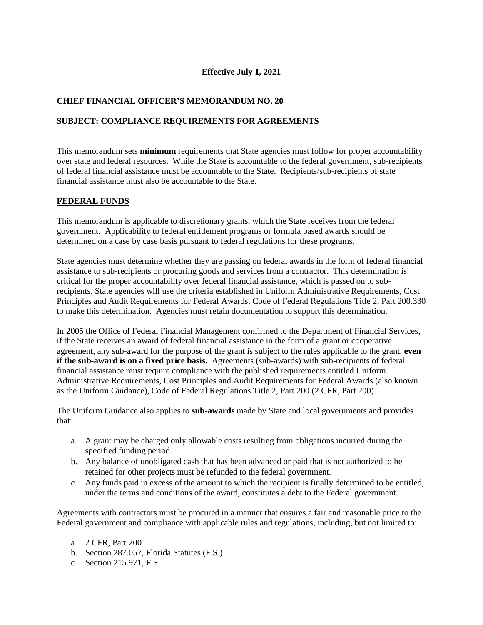# **Effective July 1, 2021**

# **CHIEF FINANCIAL OFFICER'S MEMORANDUM NO. 20**

# **SUBJECT: COMPLIANCE REQUIREMENTS FOR AGREEMENTS**

This memorandum sets **minimum** requirements that State agencies must follow for proper accountability over state and federal resources. While the State is accountable to the federal government, sub-recipients of federal financial assistance must be accountable to the State. Recipients/sub-recipients of state financial assistance must also be accountable to the State.

### **FEDERAL FUNDS**

This memorandum is applicable to discretionary grants, which the State receives from the federal government. Applicability to federal entitlement programs or formula based awards should be determined on a case by case basis pursuant to federal regulations for these programs.

State agencies must determine whether they are passing on federal awards in the form of federal financial assistance to sub-recipients or procuring goods and services from a contractor. This determination is critical for the proper accountability over federal financial assistance, which is passed on to subrecipients. State agencies will use the criteria established in Uniform Administrative Requirements, Cost Principles and Audit Requirements for Federal Awards, Code of Federal Regulations Title 2, Part 200.330 to make this determination. Agencies must retain documentation to support this determination.

In 2005 the Office of Federal Financial Management confirmed to the Department of Financial Services, if the State receives an award of federal financial assistance in the form of a grant or cooperative agreement, any sub-award for the purpose of the grant is subject to the rules applicable to the grant, **even if the sub-award is on a fixed price basis.** Agreements (sub-awards) with sub-recipients of federal financial assistance must require compliance with the published requirements entitled Uniform Administrative Requirements, Cost Principles and Audit Requirements for Federal Awards (also known as the Uniform Guidance), Code of Federal Regulations Title 2, Part 200 (2 CFR, Part 200).

The Uniform Guidance also applies to **sub-awards** made by State and local governments and provides that:

- a. A grant may be charged only allowable costs resulting from obligations incurred during the specified funding period.
- b. Any balance of unobligated cash that has been advanced or paid that is not authorized to be retained for other projects must be refunded to the federal government.
- c. Any funds paid in excess of the amount to which the recipient is finally determined to be entitled, under the terms and conditions of the award, constitutes a debt to the Federal government.

Agreements with contractors must be procured in a manner that ensures a fair and reasonable price to the Federal government and compliance with applicable rules and regulations, including, but not limited to:

- a. 2 CFR, Part 200
- b. Section 287.057, Florida Statutes (F.S.)
- c. Section 215.971, F.S.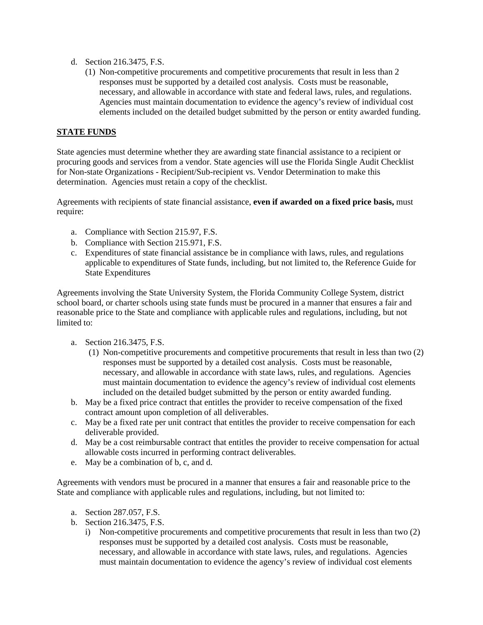- d. Section 216.3475, F.S.
	- (1) Non-competitive procurements and competitive procurements that result in less than 2 responses must be supported by a detailed cost analysis. Costs must be reasonable, necessary, and allowable in accordance with state and federal laws, rules, and regulations. Agencies must maintain documentation to evidence the agency's review of individual cost elements included on the detailed budget submitted by the person or entity awarded funding.

# **STATE FUNDS**

State agencies must determine whether they are awarding state financial assistance to a recipient or procuring goods and services from a vendor. State agencies will use the Florida Single Audit Checklist for Non-state Organizations - Recipient/Sub-recipient vs. Vendor Determination to make this determination. Agencies must retain a copy of the checklist.

Agreements with recipients of state financial assistance, **even if awarded on a fixed price basis,** must require:

- a. Compliance with Section 215.97, F.S.
- b. Compliance with Section 215.971, F.S.
- c. Expenditures of state financial assistance be in compliance with laws, rules, and regulations applicable to expenditures of State funds, including, but not limited to, the Reference Guide for State Expenditures

Agreements involving the State University System, the Florida Community College System, district school board, or charter schools using state funds must be procured in a manner that ensures a fair and reasonable price to the State and compliance with applicable rules and regulations, including, but not limited to:

- a. Section 216.3475, F.S.
	- (1) Non-competitive procurements and competitive procurements that result in less than two (2) responses must be supported by a detailed cost analysis. Costs must be reasonable, necessary, and allowable in accordance with state laws, rules, and regulations. Agencies must maintain documentation to evidence the agency's review of individual cost elements included on the detailed budget submitted by the person or entity awarded funding.
- b. May be a fixed price contract that entitles the provider to receive compensation of the fixed contract amount upon completion of all deliverables.
- c. May be a fixed rate per unit contract that entitles the provider to receive compensation for each deliverable provided.
- d. May be a cost reimbursable contract that entitles the provider to receive compensation for actual allowable costs incurred in performing contract deliverables.
- e. May be a combination of b, c, and d.

Agreements with vendors must be procured in a manner that ensures a fair and reasonable price to the State and compliance with applicable rules and regulations, including, but not limited to:

- a. Section 287.057, F.S.
- b. Section 216.3475, F.S.
	- i) Non-competitive procurements and competitive procurements that result in less than two (2) responses must be supported by a detailed cost analysis. Costs must be reasonable, necessary, and allowable in accordance with state laws, rules, and regulations. Agencies must maintain documentation to evidence the agency's review of individual cost elements